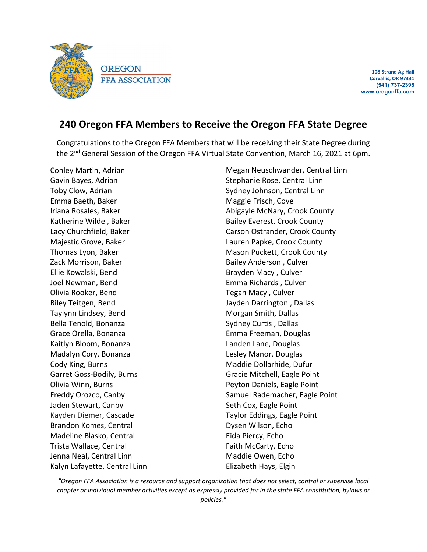

**108 Strand Ag Hall Corvallis, OR 97331 (541) 737-2395 www.oregonffa.com**

## **240 Oregon FFA Members to Receive the Oregon FFA State Degree**

Congratulations to the Oregon FFA Members that will be receiving their State Degree during the 2<sup>nd</sup> General Session of the Oregon FFA Virtual State Convention, March 16, 2021 at 6pm.

Conley Martin, Adrian Gavin Bayes, Adrian Toby Clow, Adrian Emma Baeth, Baker Iriana Rosales, Baker Katherine Wilde , Baker Lacy Churchfield, Baker Majestic Grove, Baker Thomas Lyon, Baker Zack Morrison, Baker Ellie Kowalski, Bend Joel Newman, Bend Olivia Rooker, Bend Riley Teitgen, Bend Taylynn Lindsey, Bend Bella Tenold, Bonanza Grace Orella, Bonanza Kaitlyn Bloom, Bonanza Madalyn Cory, Bonanza Cody King, Burns Garret Goss-Bodily, Burns Olivia Winn, Burns Freddy Orozco, Canby Jaden Stewart, Canby Kayden Diemer, Cascade Brandon Komes, Central Madeline Blasko, Central Trista Wallace, Central Jenna Neal, Central Linn Kalyn Lafayette, Central Linn

Megan Neuschwander, Central Linn Stephanie Rose, Central Linn Sydney Johnson, Central Linn Maggie Frisch, Cove Abigayle McNary, Crook County Bailey Everest, Crook County Carson Ostrander, Crook County Lauren Papke, Crook County Mason Puckett, Crook County Bailey Anderson , Culver Brayden Macy , Culver Emma Richards , Culver Tegan Macy , Culver Jayden Darrington , Dallas Morgan Smith, Dallas Sydney Curtis , Dallas Emma Freeman, Douglas Landen Lane, Douglas Lesley Manor, Douglas Maddie Dollarhide, Dufur Gracie Mitchell, Eagle Point Peyton Daniels, Eagle Point Samuel Rademacher, Eagle Point Seth Cox, Eagle Point Taylor Eddings, Eagle Point Dysen Wilson, Echo Eida Piercy, Echo Faith McCarty, Echo Maddie Owen, Echo Elizabeth Hays, Elgin

*"Oregon FFA Association is a resource and support organization that does not select, control or supervise local chapter or individual member activities except as expressly provided for in the state FFA constitution, bylaws or policies."*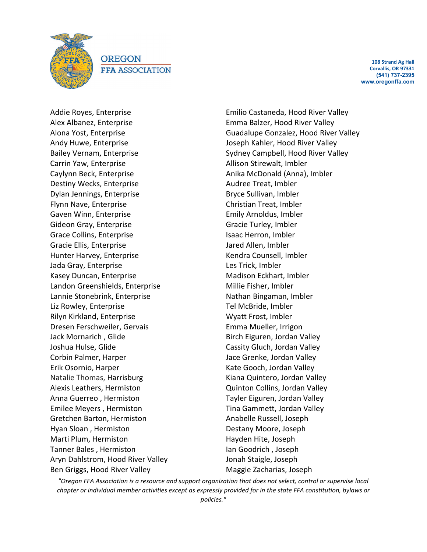

**OREGON FFA ASSOCIATION** 

**108 Strand Ag Hall Corvallis, OR 97331 (541) 737-2395 www.oregonffa.com**

Addie Royes, Enterprise Alex Albanez, Enterprise Alona Yost, Enterprise Andy Huwe, Enterprise Bailey Vernam, Enterprise Carrin Yaw, Enterprise Caylynn Beck, Enterprise Destiny Wecks, Enterprise Dylan Jennings, Enterprise Flynn Nave, Enterprise Gaven Winn, Enterprise Gideon Gray, Enterprise Grace Collins, Enterprise Gracie Ellis, Enterprise Hunter Harvey, Enterprise Jada Gray, Enterprise Kasey Duncan, Enterprise Landon Greenshields, Enterprise Lannie Stonebrink, Enterprise Liz Rowley, Enterprise Rilyn Kirkland, Enterprise Dresen Ferschweiler, Gervais Jack Mornarich , Glide Joshua Hulse, Glide Corbin Palmer, Harper Erik Osornio, Harper Natalie Thomas, Harrisburg Alexis Leathers, Hermiston Anna Guerreo , Hermiston Emilee Meyers , Hermiston Gretchen Barton, Hermiston Hyan Sloan , Hermiston Marti Plum, Hermiston Tanner Bales , Hermiston Aryn Dahlstrom, Hood River Valley Ben Griggs, Hood River Valley

Emilio Castaneda, Hood River Valley Emma Balzer, Hood River Valley Guadalupe Gonzalez, Hood River Valley Joseph Kahler, Hood River Valley Sydney Campbell, Hood River Valley Allison Stirewalt, Imbler Anika McDonald (Anna), Imbler Audree Treat, Imbler Bryce Sullivan, Imbler Christian Treat, Imbler Emily Arnoldus, Imbler Gracie Turley, Imbler Isaac Herron, Imbler Jared Allen, Imbler Kendra Counsell, Imbler Les Trick, Imbler Madison Eckhart, Imbler Millie Fisher, Imbler Nathan Bingaman, Imbler Tel McBride, Imbler Wyatt Frost, Imbler Emma Mueller, Irrigon Birch Eiguren, Jordan Valley Cassity Gluch, Jordan Valley Jace Grenke, Jordan Valley Kate Gooch, Jordan Valley Kiana Quintero, Jordan Valley Quinton Collins, Jordan Valley Tayler Eiguren, Jordan Valley Tina Gammett, Jordan Valley Anabelle Russell, Joseph Destany Moore, Joseph Hayden Hite, Joseph Ian Goodrich , Joseph Jonah Staigle, Joseph Maggie Zacharias, Joseph

*"Oregon FFA Association is a resource and support organization that does not select, control or supervise local chapter or individual member activities except as expressly provided for in the state FFA constitution, bylaws or*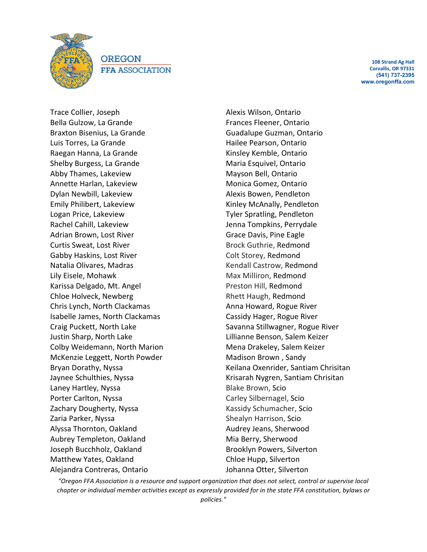

**OREGON FFA ASSOCIATION** 

**108 Strand Ag Hall Corvallis, OR 97331 (541) 737-2395 www.oregonffa.com**

Trace Collier, Joseph Bella Gulzow, La Grande Braxton Bisenius, La Grande Luis Torres, La Grande Raegan Hanna, La Grande Shelby Burgess, La Grande Abby Thames, Lakeview Annette Harlan, Lakeview Dylan Newbill, Lakeview Emily Philibert, Lakeview Logan Price, Lakeview Rachel Cahill, Lakeview Adrian Brown, Lost River Curtis Sweat, Lost River Gabby Haskins, Lost River Natalia Olivares, Madras Lily Eisele, Mohawk Karissa Delgado, Mt. Angel Chloe Holveck, Newberg Chris Lynch, North Clackamas Isabelle James, North Clackamas Craig Puckett, North Lake Justin Sharp, North Lake Colby Weidemann, North Marion McKenzie Leggett, North Powder Bryan Dorathy, Nyssa Jaynee Schulthies, Nyssa Laney Hartley, Nyssa Porter Carlton, Nyssa Zachary Dougherty, Nyssa Zaria Parker, Nyssa Alyssa Thornton, Oakland Aubrey Templeton, Oakland Joseph Bucchholz, Oakland Matthew Yates, Oakland Alejandra Contreras, Ontario

Alexis Wilson, Ontario Frances Fleener, Ontario Guadalupe Guzman, Ontario Hailee Pearson, Ontario Kinsley Kemble, Ontario Maria Esquivel, Ontario Mayson Bell, Ontario Monica Gomez, Ontario Alexis Bowen, Pendleton Kinley McAnally, Pendleton Tyler Spratling, Pendleton Jenna Tompkins, Perrydale Grace Davis, Pine Eagle Brock Guthrie, Redmond Colt Storey, Redmond Kendall Castrow, Redmond Max Milliron, Redmond Preston Hill, Redmond Rhett Haugh, Redmond Anna Howard, Rogue River Cassidy Hager, Rogue River Savanna Stillwagner, Rogue River Lillianne Benson, Salem Keizer Mena Drakeley, Salem Keizer Madison Brown , Sandy Keilana Oxenrider, Santiam Chrisitan Krisarah Nygren, Santiam Chrisitan Blake Brown, Scio Carley Silbernagel, Scio Kassidy Schumacher, Scio Shealyn Harrison, Scio Audrey Jeans, Sherwood Mia Berry, Sherwood Brooklyn Powers, Silverton Chloe Hupp, Silverton Johanna Otter, Silverton

*"Oregon FFA Association is a resource and support organization that does not select, control or supervise local chapter or individual member activities except as expressly provided for in the state FFA constitution, bylaws or*